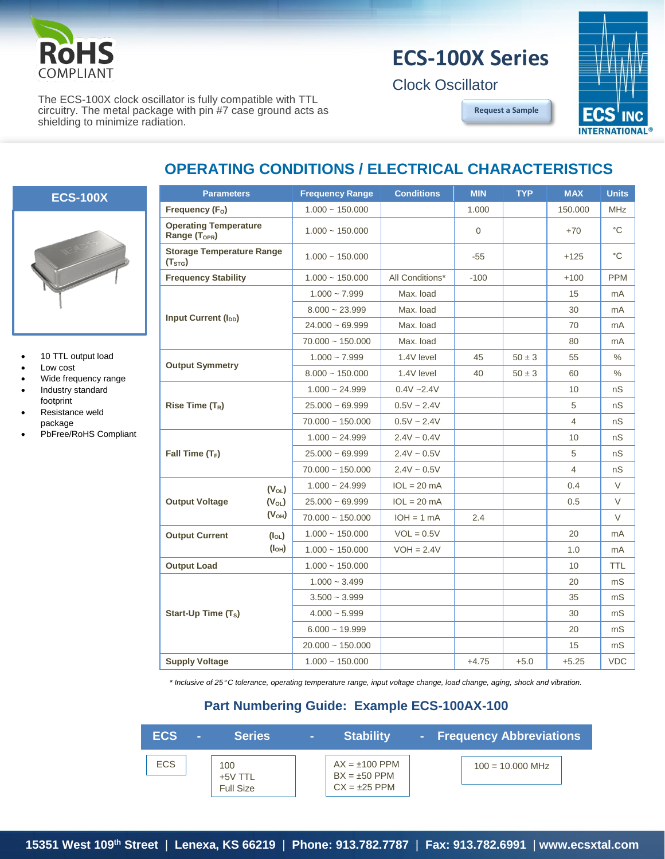

## **ECS-100X Series**

Clock Oscillator

**[Request a Sample](http://ecsxtalportal.com/samplepilot/samplerequest.php)**



The ECS-100X clock oscillator is fully compatible with TTL circuitry. The metal package with pin #7 case ground acts as shielding to minimize radiation.

## **OPERATING CONDITIONS / ELECTRICAL CHARACTERISTICS**



- 10 TTL output load
- Low cost
- Wide frequency range
- Industry standard footprint
- Resistance weld package
- PbFree/RoHS Compliant

| <b>Parameters</b>                                         |                                                | <b>Frequency Range</b> | <b>Conditions</b> | <b>MIN</b> | <b>TYP</b> | <b>MAX</b>     | <b>Units</b> |
|-----------------------------------------------------------|------------------------------------------------|------------------------|-------------------|------------|------------|----------------|--------------|
| Frequency (F <sub>o</sub> )                               |                                                | $1.000 - 150.000$      |                   | 1.000      |            | 150.000        | <b>MHz</b>   |
| <b>Operating Temperature</b><br>Range (T <sub>OPR</sub> ) |                                                | $1.000 - 150.000$      |                   | $\Omega$   |            | $+70$          | °С           |
| <b>Storage Temperature Range</b><br>(T <sub>STG</sub> )   |                                                | $1.000 - 150.000$      |                   | $-55$      |            | $+125$         | °C           |
| <b>Frequency Stability</b>                                |                                                | $1.000 - 150.000$      | All Conditions*   | $-100$     |            | $+100$         | <b>PPM</b>   |
| <b>Input Current (I<sub>DD</sub>)</b>                     |                                                | $1.000 - 7.999$        | Max. load         |            |            | 15             | mA           |
|                                                           |                                                | $8.000 - 23.999$       | Max. load         |            |            | 30             | mA           |
|                                                           |                                                | $24.000 - 69.999$      | Max. load         |            |            | 70             | mA           |
|                                                           |                                                | $70.000 - 150.000$     | Max. load         |            |            | 80             | mA           |
| <b>Output Symmetry</b>                                    |                                                | $1.000 - 7.999$        | 1.4V level        | 45         | $50 \pm 3$ | 55             | $\%$         |
|                                                           |                                                | $8.000 - 150.000$      | 1.4V level        | 40         | $50 \pm 3$ | 60             | $\%$         |
| Rise Time $(T_R)$                                         |                                                | $1.000 - 24.999$       | $0.4V - 2.4V$     |            |            | 10             | nS           |
|                                                           |                                                | $25.000 \sim 69.999$   | $0.5V \sim 2.4V$  |            |            | 5              | nS           |
|                                                           |                                                | $70.000 - 150.000$     | $0.5V \sim 2.4V$  |            |            | $\overline{4}$ | nS           |
| Fall Time $(T_F)$                                         |                                                | $1.000 - 24.999$       | $2.4V - 0.4V$     |            |            | 10             | nS           |
|                                                           |                                                | $25.000 - 69.999$      | $2.4V \sim 0.5V$  |            |            | 5              | nS           |
|                                                           |                                                | $70.000 \sim 150.000$  | $2.4V \sim 0.5V$  |            |            | $\overline{4}$ | nS           |
|                                                           | $(V_{OL})$<br>$(V_{OL})$<br>(V <sub>OH</sub> ) | $1.000 \sim 24.999$    | $IOL = 20 mA$     |            |            | 0.4            | V            |
| <b>Output Voltage</b>                                     |                                                | $25.000 - 69.999$      | $IOL = 20 mA$     |            |            | 0.5            | V            |
|                                                           |                                                | $70.000 \sim 150.000$  | $IOH = 1 mA$      | 2.4        |            |                | $\vee$       |
| <b>Output Current</b>                                     | $(I_{OL})$                                     | $1.000 - 150.000$      | $VOL = 0.5V$      |            |            | 20             | mA           |
|                                                           | (I <sub>OH</sub> )                             | $1.000 - 150.000$      | $VOH = 2.4V$      |            |            | 1.0            | mA           |
| <b>Output Load</b>                                        |                                                | $1.000 - 150.000$      |                   |            |            | 10             | <b>TTL</b>   |
|                                                           |                                                | $1.000 - 3.499$        |                   |            |            | 20             | mS           |
| Start-Up Time $(T_s)$                                     |                                                | $3.500 - 3.999$        |                   |            |            | 35             | mS           |
|                                                           |                                                | $4.000 - 5.999$        |                   |            |            | 30             | mS           |
|                                                           |                                                | $6.000 - 19.999$       |                   |            |            | 20             | mS           |
|                                                           |                                                | $20.000 - 150.000$     |                   |            |            | 15             | mS           |
| <b>Supply Voltage</b>                                     |                                                | $1.000 - 150.000$      |                   | $+4.75$    | $+5.0$     | $+5.25$        | <b>VDC</b>   |

*\* Inclusive of 25*° *C tolerance, operating temperature range, input voltage change, load change, aging, shock and vibration.*

## **Part Numbering Guide: Example ECS-100AX-100**

| ECS.       | <b>Series</b>                      | $\sim$ | <b>Stability</b>                                          | - Frequency Abbreviations |
|------------|------------------------------------|--------|-----------------------------------------------------------|---------------------------|
| <b>ECS</b> | 100<br>+5V TTL<br><b>Full Size</b> |        | $AX = \pm 100$ PPM<br>$BX = ±50$ PPM<br>$CX = \pm 25$ PPM | $100 = 10,000$ MHz        |